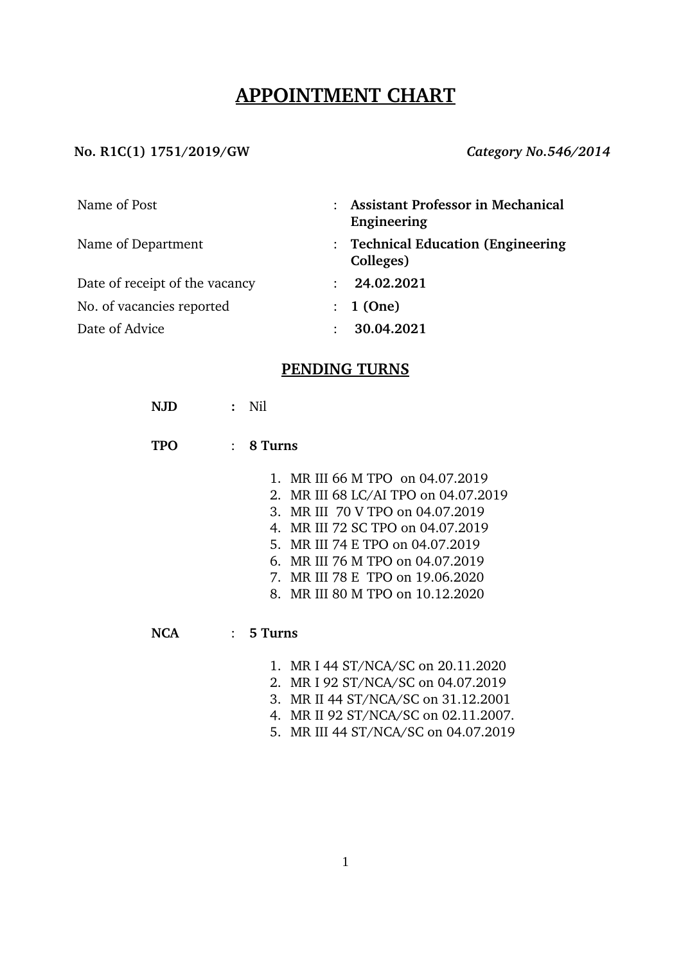## **APPOINTMENT CHART**

#### No. R1C(1) 1751/2019/GW *Category No.546/2014*

| Name of Post                   | <b>Assistant Professor in Mechanical</b><br>Engineering |
|--------------------------------|---------------------------------------------------------|
| Name of Department             | : Technical Education (Engineering<br>Colleges)         |
| Date of receipt of the vacancy | 24.02.2021                                              |
| No. of vacancies reported      | : 1(One)                                                |
| Date of Advice                 | 30.04.2021                                              |

### **PENDING TURNS**

- **TPO** : **8 Turns**
	- 1. MR III 66 M TPO on 04.07.2019
	- 2. MR III 68 LC/AI TPO on 04.07.2019
	- 3. MR III 70 V TPO on 04.07.2019
	- 4. MR III 72 SC TPO on 04.07.2019
	- 5. MR III 74 E TPO on 04.07.2019
	- 6. MR III 76 M TPO on 04.07.2019
	- 7. MR III 78 E TPO on 19.06.2020
	- 8. MR III 80 M TPO on 10.12.2020

**NCA** : **5 Turns**

- 1. MR I 44 ST/NCA/SC on 20.11.2020
- 2. MR I 92 ST/NCA/SC on 04.07.2019
- 3. MR II 44 ST/NCA/SC on 31.12.2001
- 4. MR II 92 ST/NCA/SC on 02.11.2007.
- 5. MR III 44 ST/NCA/SC on 04.07.2019